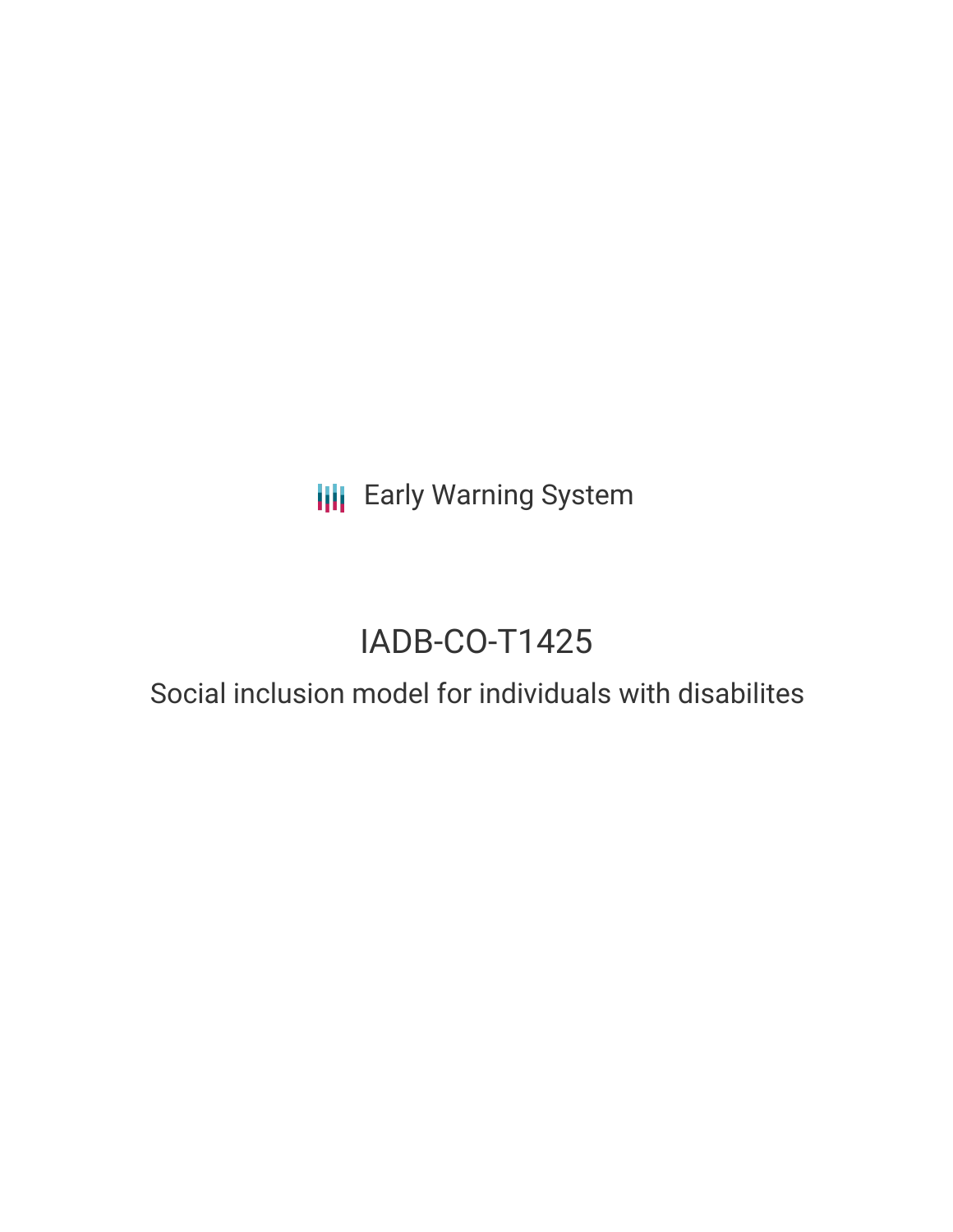**III** Early Warning System

# IADB-CO-T1425

## Social inclusion model for individuals with disabilites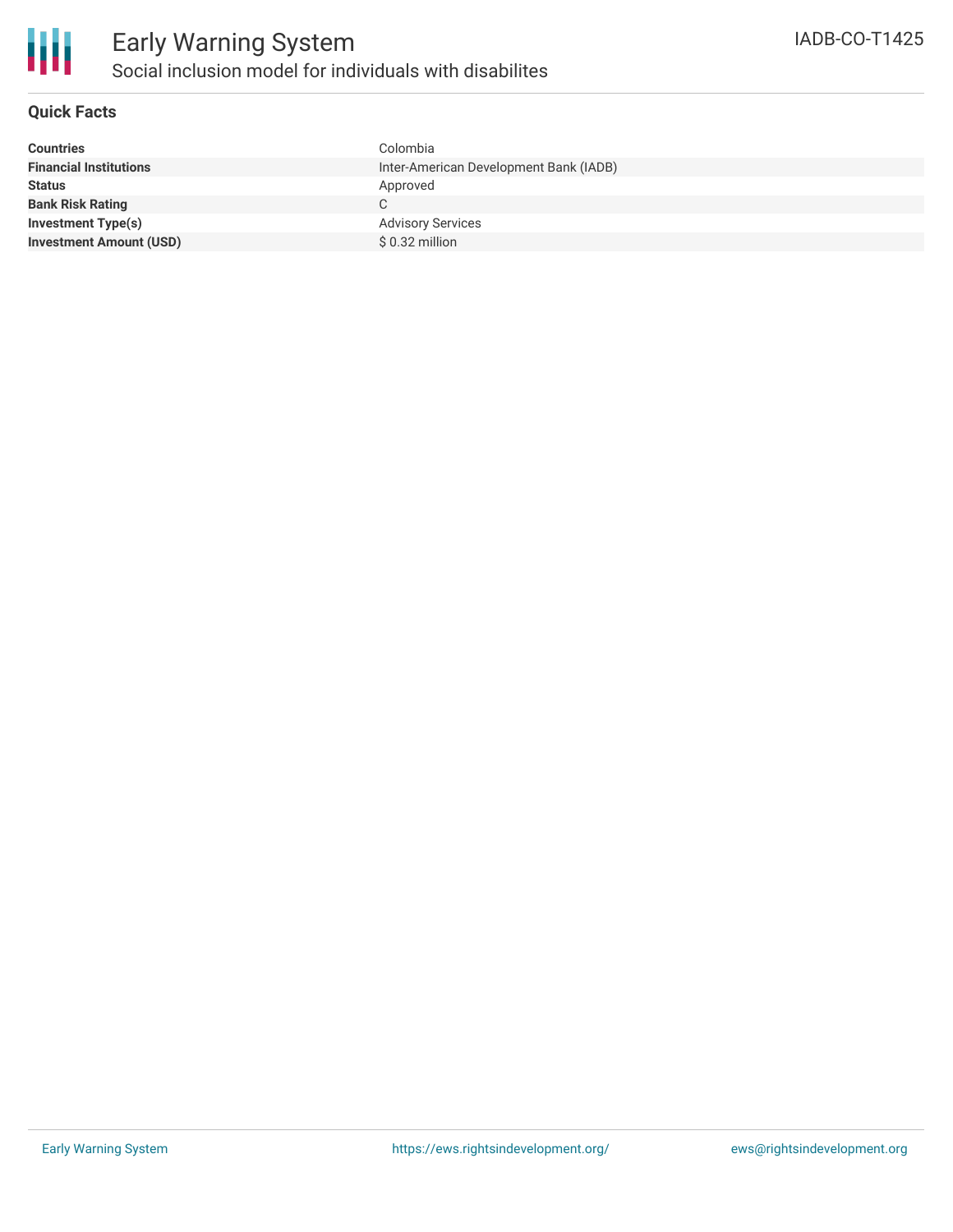

#### **Quick Facts**

| <b>Countries</b>               | Colombia                               |
|--------------------------------|----------------------------------------|
| <b>Financial Institutions</b>  | Inter-American Development Bank (IADB) |
| <b>Status</b>                  | Approved                               |
| <b>Bank Risk Rating</b>        |                                        |
| <b>Investment Type(s)</b>      | <b>Advisory Services</b>               |
| <b>Investment Amount (USD)</b> | \$ 0.32 million                        |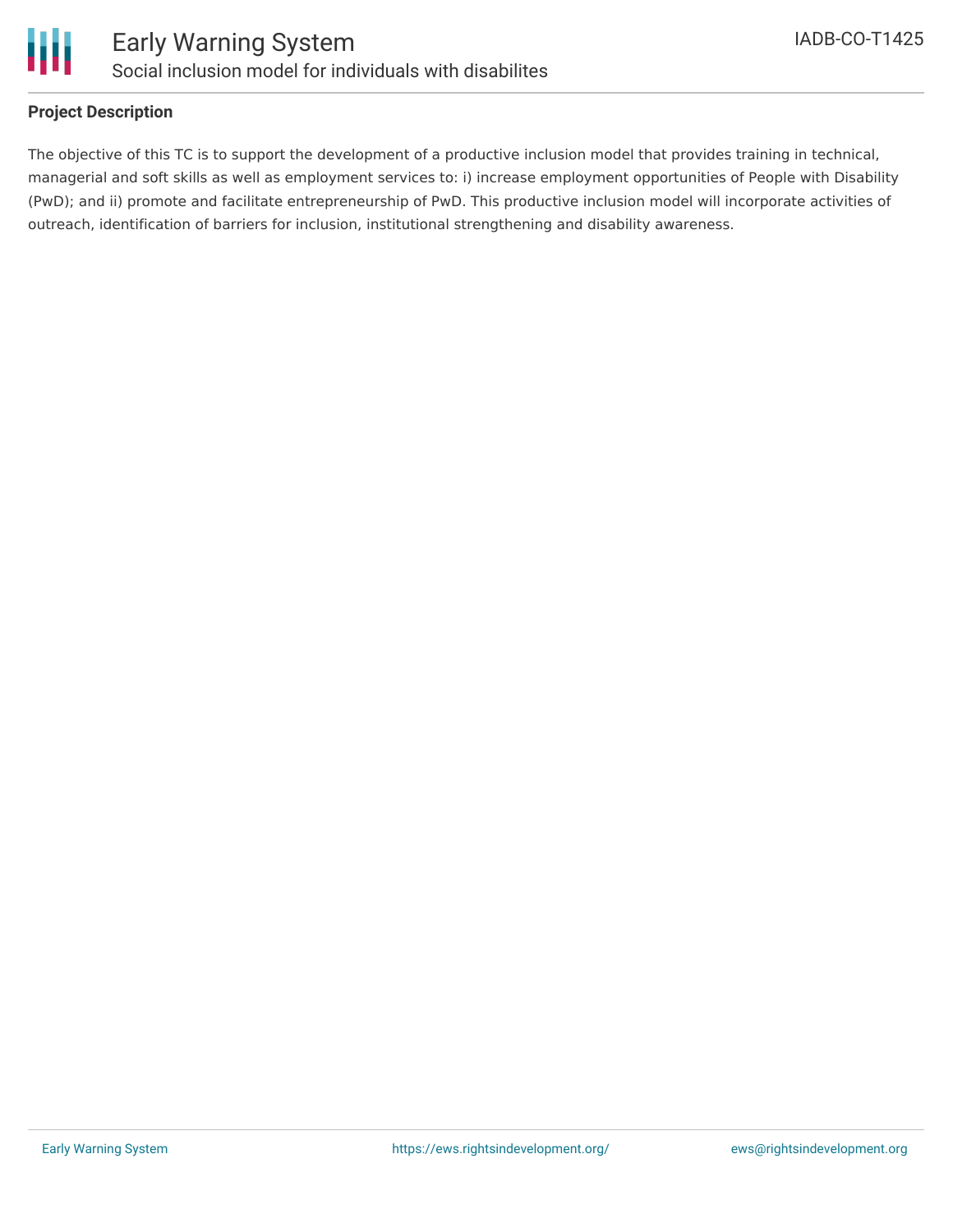

#### **Project Description**

The objective of this TC is to support the development of a productive inclusion model that provides training in technical, managerial and soft skills as well as employment services to: i) increase employment opportunities of People with Disability (PwD); and ii) promote and facilitate entrepreneurship of PwD. This productive inclusion model will incorporate activities of outreach, identification of barriers for inclusion, institutional strengthening and disability awareness.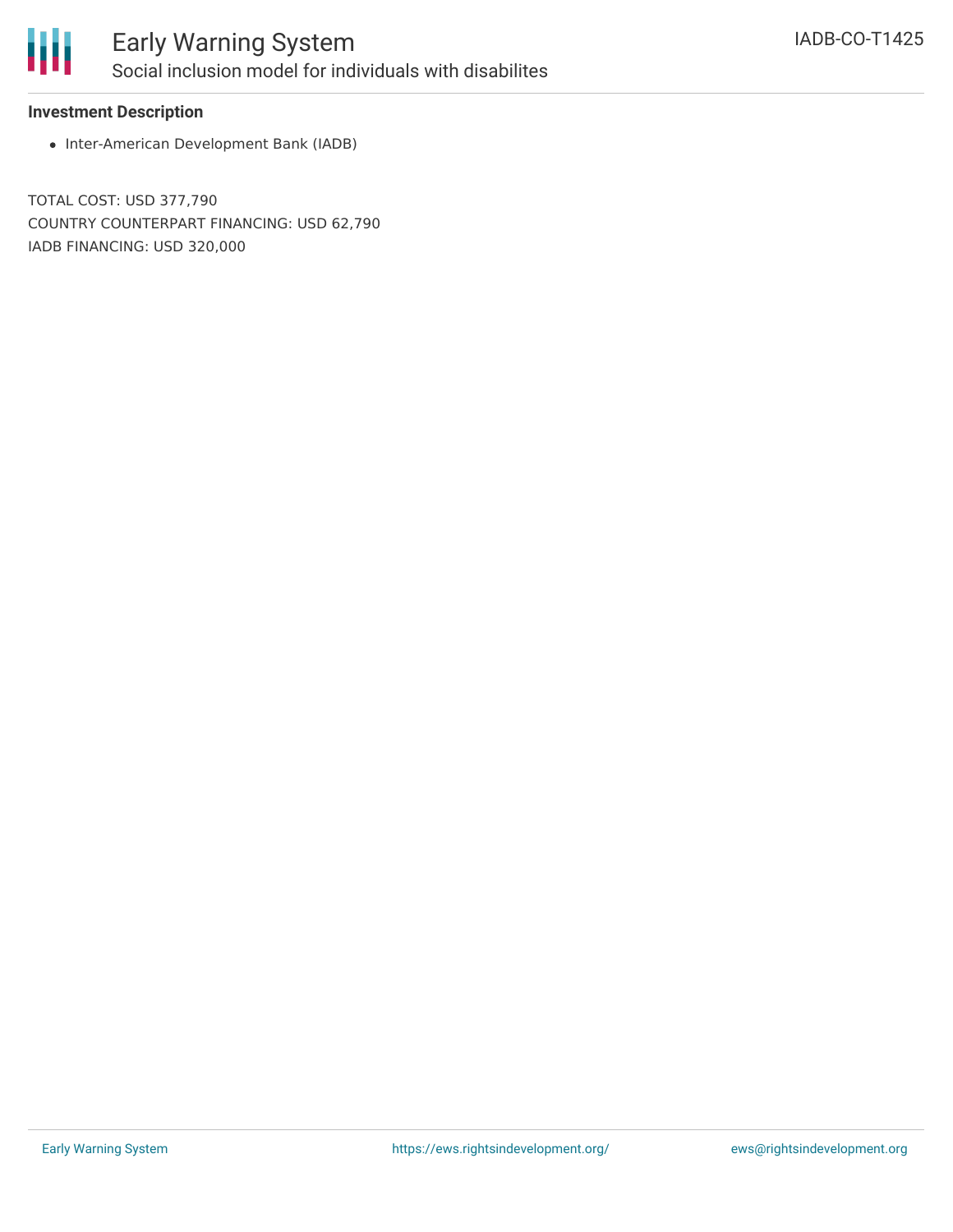

#### **Investment Description**

• Inter-American Development Bank (IADB)

TOTAL COST: USD 377,790 COUNTRY COUNTERPART FINANCING: USD 62,790 IADB FINANCING: USD 320,000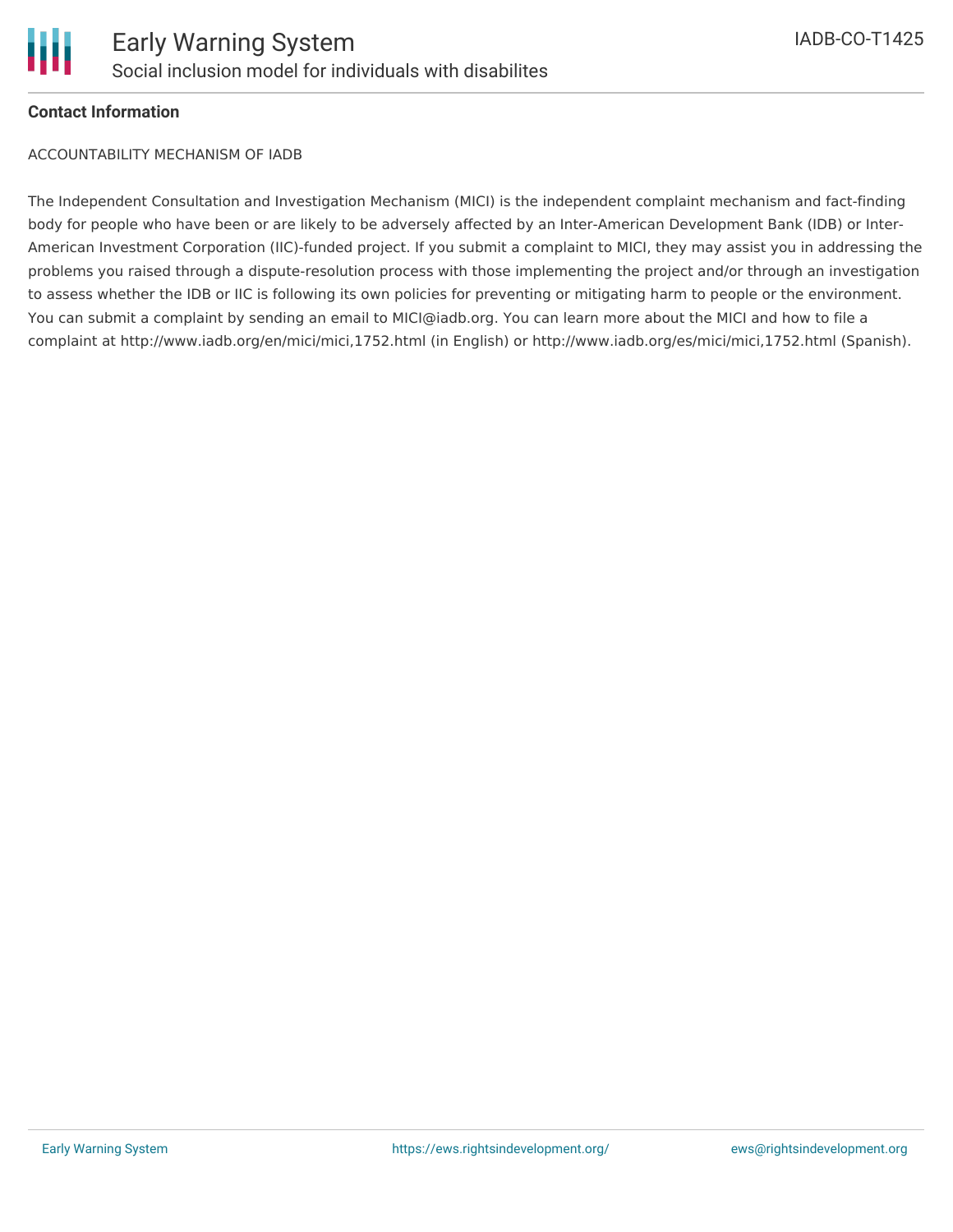

#### **Contact Information**

ACCOUNTABILITY MECHANISM OF IADB

The Independent Consultation and Investigation Mechanism (MICI) is the independent complaint mechanism and fact-finding body for people who have been or are likely to be adversely affected by an Inter-American Development Bank (IDB) or Inter-American Investment Corporation (IIC)-funded project. If you submit a complaint to MICI, they may assist you in addressing the problems you raised through a dispute-resolution process with those implementing the project and/or through an investigation to assess whether the IDB or IIC is following its own policies for preventing or mitigating harm to people or the environment. You can submit a complaint by sending an email to MICI@iadb.org. You can learn more about the MICI and how to file a complaint at http://www.iadb.org/en/mici/mici,1752.html (in English) or http://www.iadb.org/es/mici/mici,1752.html (Spanish).